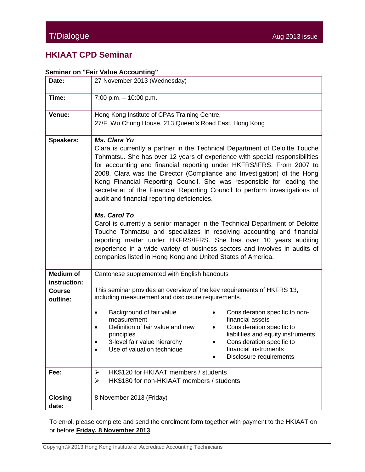## **HKIAAT CPD Seminar**

## **Seminar on "Fair Value Accounting"**

| Date:                            | 27 November 2013 (Wednesday)                                                                                                                                                                                                                                                                                                                                                                                                                                                                                                                          |  |  |
|----------------------------------|-------------------------------------------------------------------------------------------------------------------------------------------------------------------------------------------------------------------------------------------------------------------------------------------------------------------------------------------------------------------------------------------------------------------------------------------------------------------------------------------------------------------------------------------------------|--|--|
| Time:                            | $7:00$ p.m. $-10:00$ p.m.                                                                                                                                                                                                                                                                                                                                                                                                                                                                                                                             |  |  |
| Venue:                           | Hong Kong Institute of CPAs Training Centre,<br>27/F, Wu Chung House, 213 Queen's Road East, Hong Kong                                                                                                                                                                                                                                                                                                                                                                                                                                                |  |  |
| <b>Speakers:</b>                 | Ms. Clara Yu<br>Clara is currently a partner in the Technical Department of Deloitte Touche<br>Tohmatsu. She has over 12 years of experience with special responsibilities<br>for accounting and financial reporting under HKFRS/IFRS. From 2007 to<br>2008, Clara was the Director (Compliance and Investigation) of the Hong<br>Kong Financial Reporting Council. She was responsible for leading the<br>secretariat of the Financial Reporting Council to perform investigations of<br>audit and financial reporting deficiencies.<br>Ms. Carol To |  |  |
|                                  | Carol is currently a senior manager in the Technical Department of Deloitte<br>Touche Tohmatsu and specializes in resolving accounting and financial<br>reporting matter under HKFRS/IFRS. She has over 10 years auditing<br>experience in a wide variety of business sectors and involves in audits of<br>companies listed in Hong Kong and United States of America.                                                                                                                                                                                |  |  |
| <b>Medium of</b><br>instruction: | Cantonese supplemented with English handouts                                                                                                                                                                                                                                                                                                                                                                                                                                                                                                          |  |  |
| <b>Course</b><br>outline:        | This seminar provides an overview of the key requirements of HKFRS 13,<br>including measurement and disclosure requirements.                                                                                                                                                                                                                                                                                                                                                                                                                          |  |  |
|                                  | Background of fair value<br>Consideration specific to non-<br>financial assets<br>measurement<br>Definition of fair value and new<br>Consideration specific to<br>$\bullet$<br>liabilities and equity instruments<br>principles<br>3-level fair value hierarchy<br>Consideration specific to<br>financial instruments<br>Use of valuation technique<br>٠<br>Disclosure requirements                                                                                                                                                                   |  |  |
| Fee:                             | HK\$120 for HKIAAT members / students<br>➤<br>HK\$180 for non-HKIAAT members / students<br>➤                                                                                                                                                                                                                                                                                                                                                                                                                                                          |  |  |
| <b>Closing</b><br>date:          | 8 November 2013 (Friday)                                                                                                                                                                                                                                                                                                                                                                                                                                                                                                                              |  |  |

To enrol, please complete and send the enrolment form together with payment to the HKIAAT on or before **Friday, 8 November 2013**.